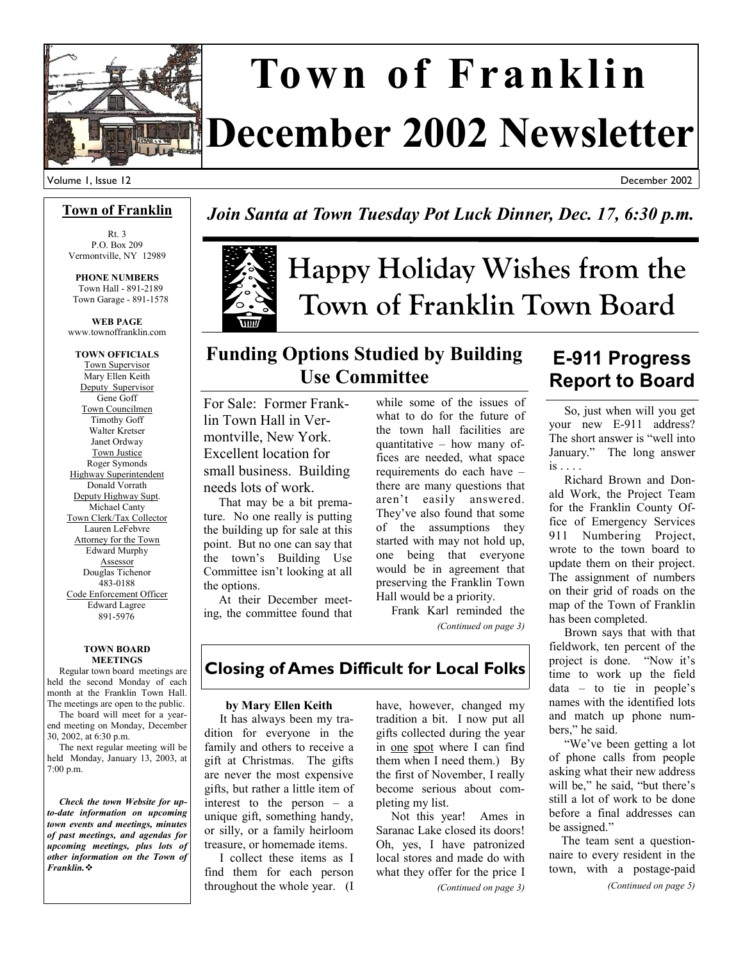

# **December 2002 Newsletter Town of Franklin**

December 2002

### **Town of Franklin**

Rt. 3 P.O. Box 209 Vermontville, NY 12989

**PHONE NUMBERS**  Town Hall - 891-2189 Town Garage - 891-1578

**WEB PAGE**  www.townoffranklin.com

**TOWN OFFICIALS**  Town Supervisor Mary Ellen Keith Deputy Supervisor Gene Goff Town Councilmen Timothy Goff Walter Kretser Janet Ordway Town Justice Roger Symonds Highway Superintendent Donald Vorrath Deputy Highway Supt. Michael Canty Town Clerk/Tax Collector Lauren LeFebvre Attorney for the Town Edward Murphy Assessor Douglas Tichenor 483-0188 Code Enforcement Officer Edward Lagree 891-5976

#### **TOWN BOARD MEETINGS**

 Regular town board meetings are held the second Monday of each month at the Franklin Town Hall. The meetings are open to the public.

 The board will meet for a yearend meeting on Monday, December 30, 2002, at 6:30 p.m.

 The next regular meeting will be held Monday, January 13, 2003, at 7:00 p.m.

 *Check the town Website for upto-date information on upcoming town events and meetings, minutes of past meetings, and agendas for upcoming meetings, plus lots of other information on the Town of Franklin.*

### *Join Santa at Town Tuesday Pot Luck Dinner, Dec. 17, 6:30 p.m.*

# **Happy Holiday Wishes from the Town of Franklin Town Board**

### **Funding Options Studied by Building Use Committee**

For Sale: Former Franklin Town Hall in Vermontville, New York. Excellent location for small business. Building needs lots of work.

 That may be a bit premature. No one really is putting the building up for sale at this point. But no one can say that the town's Building Use Committee isn't looking at all the options.

 At their December meeting, the committee found that while some of the issues of what to do for the future of the town hall facilities are quantitative – how many offices are needed, what space requirements do each have – there are many questions that aren't easily answered. They've also found that some of the assumptions they started with may not hold up, one being that everyone would be in agreement that preserving the Franklin Town Hall would be a priority.

 Frank Karl reminded the *(Continued on page 3)* 

### **E-911 Progress Report to Board**

 So, just when will you get your new E-911 address? The short answer is "well into January." The long answer  $is \dots$ 

 Richard Brown and Donald Work, the Project Team for the Franklin County Office of Emergency Services 911 Numbering Project, wrote to the town board to update them on their project. The assignment of numbers on their grid of roads on the map of the Town of Franklin has been completed.

 Brown says that with that fieldwork, ten percent of the project is done. "Now it's time to work up the field  $data - to tie in people's$ names with the identified lots and match up phone numbers," he said.

 "We've been getting a lot of phone calls from people asking what their new address will be," he said, "but there's still a lot of work to be done before a final addresses can be assigned."

 The team sent a questionnaire to every resident in the town, with a postage-paid

*(Continued on page 5)* 

### **Closing of Ames Difficult for Local Folks**

#### **by Mary Ellen Keith**

 It has always been my tradition for everyone in the family and others to receive a gift at Christmas. The gifts are never the most expensive gifts, but rather a little item of interest to the person – a unique gift, something handy, or silly, or a family heirloom treasure, or homemade items.

 I collect these items as I find them for each person throughout the whole year. (I

have, however, changed my tradition a bit. I now put all gifts collected during the year in one spot where I can find them when I need them.) By the first of November, I really become serious about completing my list.

 Not this year! Ames in Saranac Lake closed its doors! Oh, yes, I have patronized local stores and made do with what they offer for the price I

*(Continued on page 3)*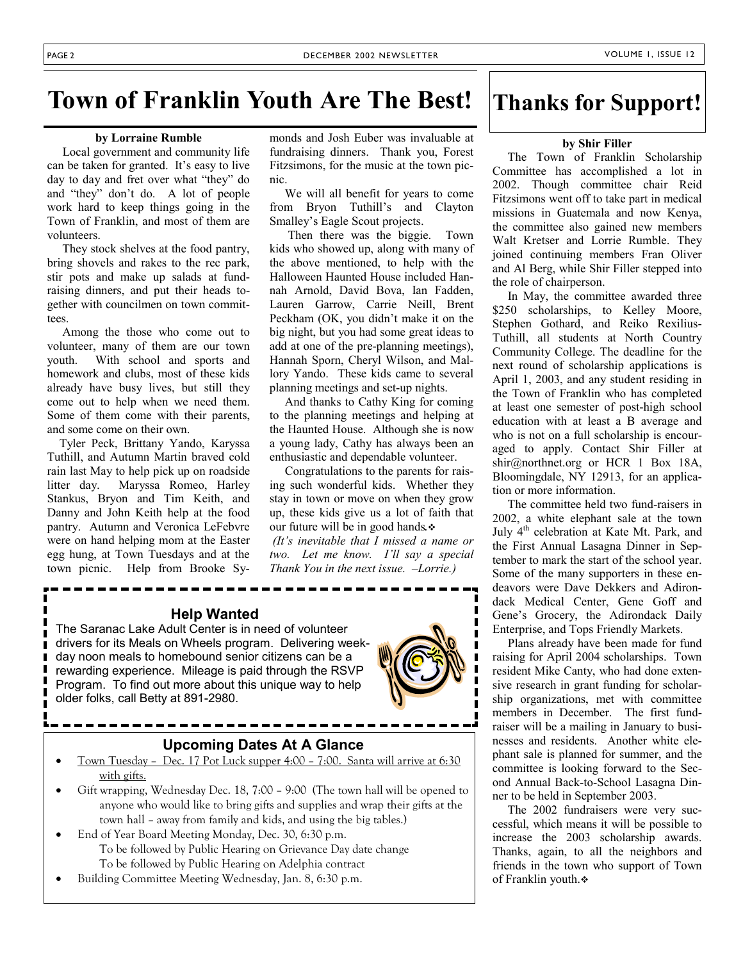### **Town of Franklin Youth Are The Best! Thanks for Support!**

#### **by Lorraine Rumble**

 Local government and community life can be taken for granted. It's easy to live day to day and fret over what "they" do and "they" don't do. A lot of people work hard to keep things going in the Town of Franklin, and most of them are volunteers.

 They stock shelves at the food pantry, bring shovels and rakes to the rec park, stir pots and make up salads at fundraising dinners, and put their heads together with councilmen on town committees.

 Among the those who come out to volunteer, many of them are our town youth. With school and sports and homework and clubs, most of these kids already have busy lives, but still they come out to help when we need them. Some of them come with their parents, and some come on their own.

 Tyler Peck, Brittany Yando, Karyssa Tuthill, and Autumn Martin braved cold rain last May to help pick up on roadside litter day. Maryssa Romeo, Harley Stankus, Bryon and Tim Keith, and Danny and John Keith help at the food pantry. Autumn and Veronica LeFebvre were on hand helping mom at the Easter egg hung, at Town Tuesdays and at the town picnic. Help from Brooke Sy-

monds and Josh Euber was invaluable at fundraising dinners. Thank you, Forest Fitzsimons, for the music at the town picnic.

 We will all benefit for years to come from Bryon Tuthill's and Clayton Smalley's Eagle Scout projects.

 Then there was the biggie. Town kids who showed up, along with many of the above mentioned, to help with the Halloween Haunted House included Hannah Arnold, David Bova, Ian Fadden, Lauren Garrow, Carrie Neill, Brent Peckham (OK, you didn't make it on the big night, but you had some great ideas to add at one of the pre-planning meetings), Hannah Sporn, Cheryl Wilson, and Mallory Yando. These kids came to several planning meetings and set-up nights.

 And thanks to Cathy King for coming to the planning meetings and helping at the Haunted House. Although she is now a young lady, Cathy has always been an enthusiastic and dependable volunteer.

 Congratulations to the parents for raising such wonderful kids. Whether they stay in town or move on when they grow up, these kids give us a lot of faith that our future will be in good hands*.*

*(It's inevitable that I missed a name or two. Let me know. I'll say a special Thank You in the next issue. –Lorrie.)* 

### **Help Wanted**

The Saranac Lake Adult Center is in need of volunteer drivers for its Meals on Wheels program. Delivering weekday noon meals to homebound senior citizens can be a rewarding experience. Mileage is paid through the RSVP Program. To find out more about this unique way to help older folks, call Betty at 891-2980.

### **Upcoming Dates At A Glance**

- Town Tuesday Dec. 17 Pot Luck supper 4:00 7:00. Santa will arrive at 6:30 with gifts.
- Gift wrapping, Wednesday Dec. 18, 7:00 9:00 (The town hall will be opened to anyone who would like to bring gifts and supplies and wrap their gifts at the town hall – away from family and kids, and using the big tables.)
- End of Year Board Meeting Monday, Dec. 30, 6:30 p.m. To be followed by Public Hearing on Grievance Day date change To be followed by Public Hearing on Adelphia contract
- Building Committee Meeting Wednesday, Jan. 8, 6:30 p.m.



#### **by Shir Filler**

 The Town of Franklin Scholarship Committee has accomplished a lot in 2002. Though committee chair Reid Fitzsimons went off to take part in medical missions in Guatemala and now Kenya, the committee also gained new members Walt Kretser and Lorrie Rumble. They joined continuing members Fran Oliver and Al Berg, while Shir Filler stepped into the role of chairperson.

 In May, the committee awarded three \$250 scholarships, to Kelley Moore, Stephen Gothard, and Reiko Rexilius-Tuthill, all students at North Country Community College. The deadline for the next round of scholarship applications is April 1, 2003, and any student residing in the Town of Franklin who has completed at least one semester of post-high school education with at least a B average and who is not on a full scholarship is encouraged to apply. Contact Shir Filler at shir@northnet.org or HCR 1 Box 18A, Bloomingdale, NY 12913, for an application or more information.

 The committee held two fund-raisers in 2002, a white elephant sale at the town July 4th celebration at Kate Mt. Park, and the First Annual Lasagna Dinner in September to mark the start of the school year. Some of the many supporters in these endeavors were Dave Dekkers and Adirondack Medical Center, Gene Goff and Gene's Grocery, the Adirondack Daily Enterprise, and Tops Friendly Markets.

 Plans already have been made for fund raising for April 2004 scholarships. Town resident Mike Canty, who had done extensive research in grant funding for scholarship organizations, met with committee members in December. The first fundraiser will be a mailing in January to businesses and residents. Another white elephant sale is planned for summer, and the committee is looking forward to the Second Annual Back-to-School Lasagna Dinner to be held in September 2003.

 The 2002 fundraisers were very successful, which means it will be possible to increase the 2003 scholarship awards. Thanks, again, to all the neighbors and friends in the town who support of Town of Franklin youth.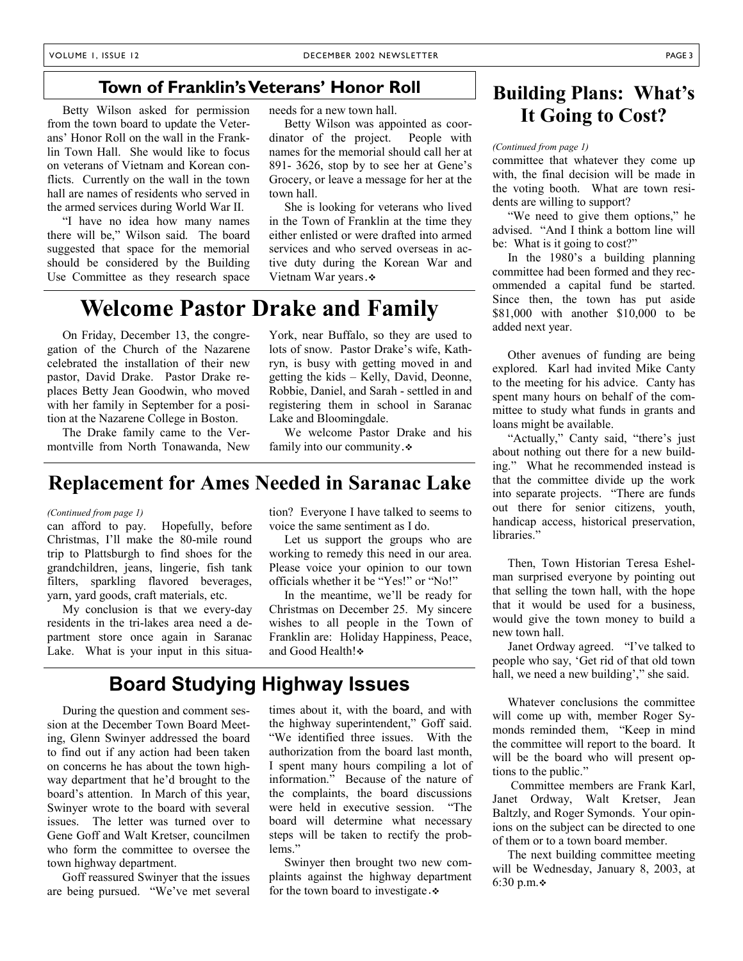### **Town of Franklin's Veterans' Honor Roll**

 Betty Wilson asked for permission from the town board to update the Veterans' Honor Roll on the wall in the Franklin Town Hall. She would like to focus on veterans of Vietnam and Korean conflicts. Currently on the wall in the town hall are names of residents who served in the armed services during World War II.

 "I have no idea how many names there will be," Wilson said. The board suggested that space for the memorial should be considered by the Building Use Committee as they research space needs for a new town hall.

 Betty Wilson was appointed as coordinator of the project. People with names for the memorial should call her at 891- 3626, stop by to see her at Gene's Grocery, or leave a message for her at the town hall.

 She is looking for veterans who lived in the Town of Franklin at the time they either enlisted or were drafted into armed services and who served overseas in active duty during the Korean War and Vietnam War years *.*

### **Welcome Pastor Drake and Family**

 On Friday, December 13, the congregation of the Church of the Nazarene celebrated the installation of their new pastor, David Drake. Pastor Drake replaces Betty Jean Goodwin, who moved with her family in September for a position at the Nazarene College in Boston.

 The Drake family came to the Vermontville from North Tonawanda, New

York, near Buffalo, so they are used to lots of snow. Pastor Drake's wife, Kathryn, is busy with getting moved in and getting the kids – Kelly, David, Deonne, Robbie, Daniel, and Sarah - settled in and registering them in school in Saranac Lake and Bloomingdale.

 We welcome Pastor Drake and his family into our community *.*

### **Replacement for Ames Needed in Saranac Lake**

#### *(Continued from page 1)*

can afford to pay. Hopefully, before Christmas, I'll make the 80-mile round trip to Plattsburgh to find shoes for the grandchildren, jeans, lingerie, fish tank filters, sparkling flavored beverages, yarn, yard goods, craft materials, etc.

 My conclusion is that we every-day residents in the tri-lakes area need a department store once again in Saranac Lake. What is your input in this situation? Everyone I have talked to seems to voice the same sentiment as I do.

 Let us support the groups who are working to remedy this need in our area. Please voice your opinion to our town officials whether it be "Yes!" or "No!"

 In the meantime, we'll be ready for Christmas on December 25. My sincere wishes to all people in the Town of Franklin are: Holiday Happiness, Peace, and Good Health!

### **Board Studying Highway Issues**

 During the question and comment session at the December Town Board Meeting, Glenn Swinyer addressed the board to find out if any action had been taken on concerns he has about the town highway department that he'd brought to the board's attention. In March of this year, Swinyer wrote to the board with several issues. The letter was turned over to Gene Goff and Walt Kretser, councilmen who form the committee to oversee the town highway department.

 Goff reassured Swinyer that the issues are being pursued. "We've met several

times about it, with the board, and with the highway superintendent," Goff said. "We identified three issues. With the authorization from the board last month, I spent many hours compiling a lot of information." Because of the nature of the complaints, the board discussions were held in executive session. "The board will determine what necessary steps will be taken to rectify the problems."

 Swinyer then brought two new complaints against the highway department for the town board to investigate *.*

### **Building Plans: What's It Going to Cost?**

#### *(Continued from page 1)*

committee that whatever they come up with, the final decision will be made in the voting booth. What are town residents are willing to support?

 "We need to give them options," he advised. "And I think a bottom line will be: What is it going to cost?"

 In the 1980's a building planning committee had been formed and they recommended a capital fund be started. Since then, the town has put aside \$81,000 with another \$10,000 to be added next year.

 Other avenues of funding are being explored. Karl had invited Mike Canty to the meeting for his advice. Canty has spent many hours on behalf of the committee to study what funds in grants and loans might be available.

 "Actually," Canty said, "there's just about nothing out there for a new building." What he recommended instead is that the committee divide up the work into separate projects. "There are funds out there for senior citizens, youth, handicap access, historical preservation, libraries."

 Then, Town Historian Teresa Eshelman surprised everyone by pointing out that selling the town hall, with the hope that it would be used for a business, would give the town money to build a new town hall.

 Janet Ordway agreed. "I've talked to people who say, 'Get rid of that old town hall, we need a new building'," she said.

 Whatever conclusions the committee will come up with, member Roger Symonds reminded them, "Keep in mind the committee will report to the board. It will be the board who will present options to the public."

 Committee members are Frank Karl, Janet Ordway, Walt Kretser, Jean Baltzly, and Roger Symonds. Your opinions on the subject can be directed to one of them or to a town board member.

 The next building committee meeting will be Wednesday, January 8, 2003, at 6:30 p.m. $\div$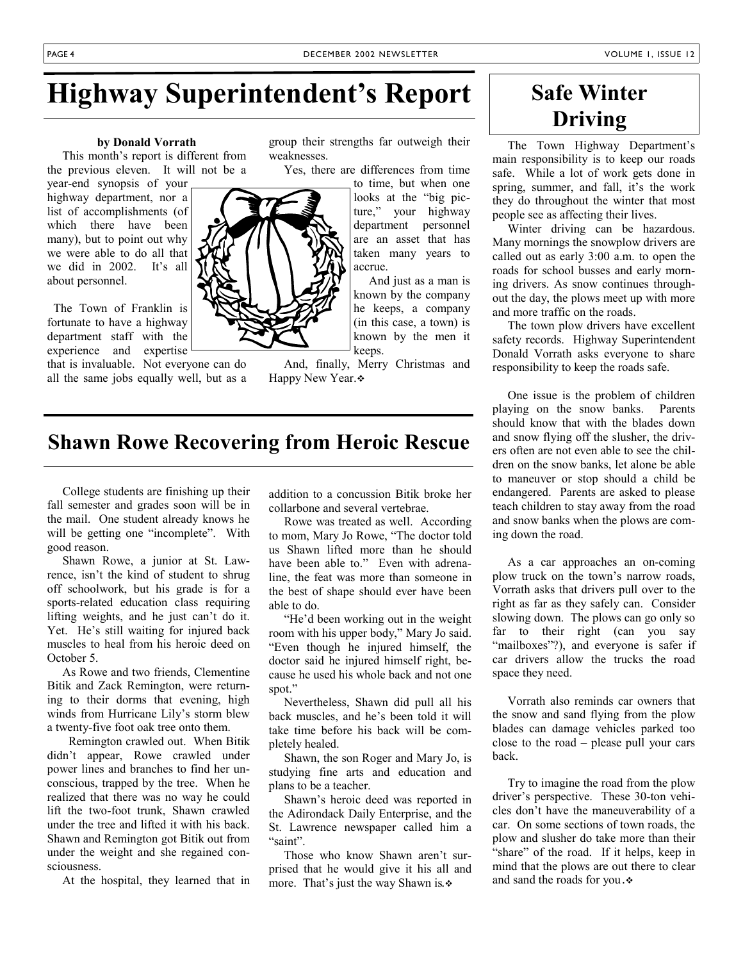## **Highway Superintendent's Report**

#### **by Donald Vorrath**

 This month's report is different from the previous eleven. It will not be a

year-end synopsis of your highway department, nor a list of accomplishments (of which there have been many), but to point out why we were able to do all that we did in 2002. It's all about personnel.

 The Town of Franklin is fortunate to have a highway department staff with the experience and expertise

that is invaluable. Not everyone can do all the same jobs equally well, but as a group their strengths far outweigh their weaknesses.

Yes, there are differences from time

to time, but when one looks at the "big picture," your highway department personnel are an asset that has taken many years to accrue.

 And just as a man is known by the company he keeps, a company (in this case, a town) is known by the men it keeps.

 And, finally, Merry Christmas and Happy New Year.

### **Shawn Rowe Recovering from Heroic Rescue**

 College students are finishing up their fall semester and grades soon will be in the mail. One student already knows he will be getting one "incomplete". With good reason.

 Shawn Rowe, a junior at St. Lawrence, isn't the kind of student to shrug off schoolwork, but his grade is for a sports-related education class requiring lifting weights, and he just can't do it. Yet. He's still waiting for injured back muscles to heal from his heroic deed on October 5.

 As Rowe and two friends, Clementine Bitik and Zack Remington, were returning to their dorms that evening, high winds from Hurricane Lily's storm blew a twenty-five foot oak tree onto them.

 Remington crawled out. When Bitik didn't appear, Rowe crawled under power lines and branches to find her unconscious, trapped by the tree. When he realized that there was no way he could lift the two-foot trunk, Shawn crawled under the tree and lifted it with his back. Shawn and Remington got Bitik out from under the weight and she regained consciousness.

At the hospital, they learned that in

addition to a concussion Bitik broke her collarbone and several vertebrae.

 Rowe was treated as well. According to mom, Mary Jo Rowe, "The doctor told us Shawn lifted more than he should have been able to." Even with adrenaline, the feat was more than someone in the best of shape should ever have been able to do.

 "He'd been working out in the weight room with his upper body," Mary Jo said. "Even though he injured himself, the doctor said he injured himself right, because he used his whole back and not one spot."

 Nevertheless, Shawn did pull all his back muscles, and he's been told it will take time before his back will be completely healed.

 Shawn, the son Roger and Mary Jo, is studying fine arts and education and plans to be a teacher.

 Shawn's heroic deed was reported in the Adirondack Daily Enterprise, and the St. Lawrence newspaper called him a "saint".

 Those who know Shawn aren't surprised that he would give it his all and more. That's just the way Shawn is*.*

### **Safe Winter Driving**

 The Town Highway Department's main responsibility is to keep our roads safe. While a lot of work gets done in spring, summer, and fall, it's the work they do throughout the winter that most people see as affecting their lives.

 Winter driving can be hazardous. Many mornings the snowplow drivers are called out as early 3:00 a.m. to open the roads for school busses and early morning drivers. As snow continues throughout the day, the plows meet up with more and more traffic on the roads.

 The town plow drivers have excellent safety records. Highway Superintendent Donald Vorrath asks everyone to share responsibility to keep the roads safe.

 One issue is the problem of children playing on the snow banks. Parents should know that with the blades down and snow flying off the slusher, the drivers often are not even able to see the children on the snow banks, let alone be able to maneuver or stop should a child be endangered. Parents are asked to please teach children to stay away from the road and snow banks when the plows are coming down the road.

 As a car approaches an on-coming plow truck on the town's narrow roads, Vorrath asks that drivers pull over to the right as far as they safely can. Consider slowing down. The plows can go only so far to their right (can you say "mailboxes"?), and everyone is safer if car drivers allow the trucks the road space they need.

 Vorrath also reminds car owners that the snow and sand flying from the plow blades can damage vehicles parked too close to the road – please pull your cars back.

 Try to imagine the road from the plow driver's perspective. These 30-ton vehicles don't have the maneuverability of a car. On some sections of town roads, the plow and slusher do take more than their "share" of the road. If it helps, keep in mind that the plows are out there to clear and sand the roads for you *.*

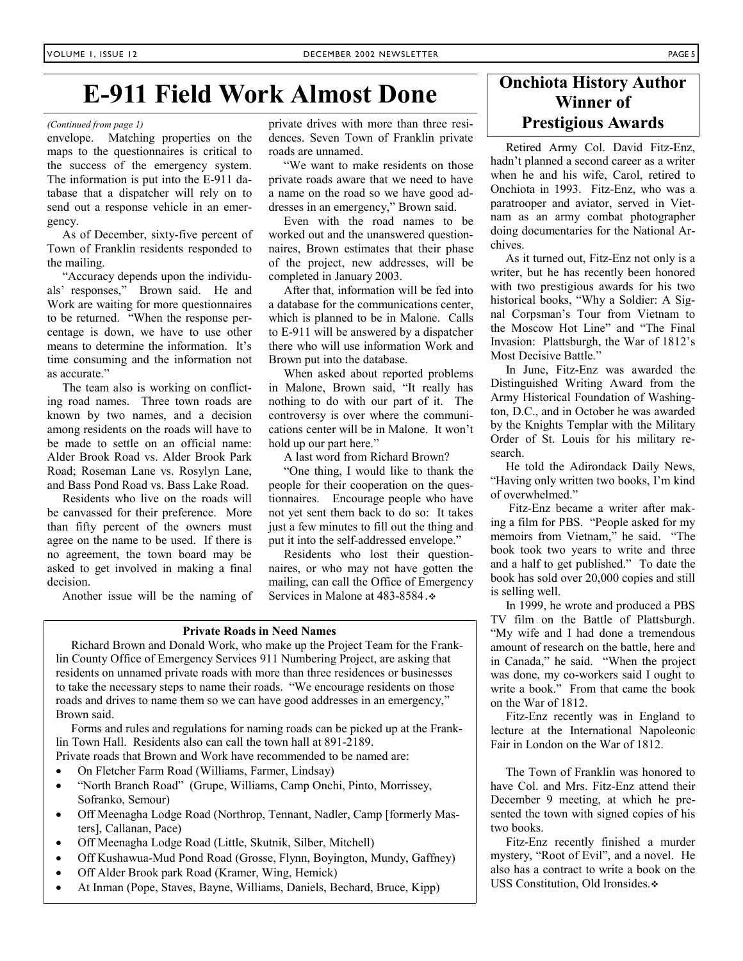### **E-911 Field Work Almost Done**

envelope. Matching properties on the maps to the questionnaires is critical to the success of the emergency system. The information is put into the E-911 database that a dispatcher will rely on to send out a response vehicle in an emergency.

 As of December, sixty-five percent of Town of Franklin residents responded to the mailing.

 "Accuracy depends upon the individuals' responses," Brown said. He and Work are waiting for more questionnaires to be returned. "When the response percentage is down, we have to use other means to determine the information. It's time consuming and the information not as accurate."

 The team also is working on conflicting road names. Three town roads are known by two names, and a decision among residents on the roads will have to be made to settle on an official name: Alder Brook Road vs. Alder Brook Park Road; Roseman Lane vs. Rosylyn Lane, and Bass Pond Road vs. Bass Lake Road.

 Residents who live on the roads will be canvassed for their preference. More than fifty percent of the owners must agree on the name to be used. If there is no agreement, the town board may be asked to get involved in making a final decision.

Another issue will be the naming of

dences. Seven Town of Franklin private roads are unnamed.

 "We want to make residents on those private roads aware that we need to have a name on the road so we have good addresses in an emergency," Brown said.

 Even with the road names to be worked out and the unanswered questionnaires, Brown estimates that their phase of the project, new addresses, will be completed in January 2003.

 After that, information will be fed into a database for the communications center, which is planned to be in Malone. Calls to E-911 will be answered by a dispatcher there who will use information Work and Brown put into the database.

 When asked about reported problems in Malone, Brown said, "It really has nothing to do with our part of it. The controversy is over where the communications center will be in Malone. It won't hold up our part here."

A last word from Richard Brown?

 "One thing, I would like to thank the people for their cooperation on the questionnaires. Encourage people who have not yet sent them back to do so: It takes just a few minutes to fill out the thing and put it into the self-addressed envelope."

 Residents who lost their questionnaires, or who may not have gotten the mailing, can call the Office of Emergency Services in Malone at 483-8584 *.*

#### **Private Roads in Need Names**

 Richard Brown and Donald Work, who make up the Project Team for the Franklin County Office of Emergency Services 911 Numbering Project, are asking that residents on unnamed private roads with more than three residences or businesses to take the necessary steps to name their roads. "We encourage residents on those roads and drives to name them so we can have good addresses in an emergency," Brown said.

 Forms and rules and regulations for naming roads can be picked up at the Franklin Town Hall. Residents also can call the town hall at 891-2189.

Private roads that Brown and Work have recommended to be named are:

- On Fletcher Farm Road (Williams, Farmer, Lindsay)
- "North Branch Road" (Grupe, Williams, Camp Onchi, Pinto, Morrissey, Sofranko, Semour)
- Off Meenagha Lodge Road (Northrop, Tennant, Nadler, Camp [formerly Masters], Callanan, Pace)
- Off Meenagha Lodge Road (Little, Skutnik, Silber, Mitchell)
- Off Kushawua-Mud Pond Road (Grosse, Flynn, Boyington, Mundy, Gaffney)
- Off Alder Brook park Road (Kramer, Wing, Hemick)
- At Inman (Pope, Staves, Bayne, Williams, Daniels, Bechard, Bruce, Kipp)

### **Onchiota History Author Winner of**  *(Continued from page 1)* **Prestigious Awards Prestigious Awards**

 Retired Army Col. David Fitz-Enz, hadn't planned a second career as a writer when he and his wife, Carol, retired to Onchiota in 1993. Fitz-Enz, who was a paratrooper and aviator, served in Vietnam as an army combat photographer doing documentaries for the National Archives.

 As it turned out, Fitz-Enz not only is a writer, but he has recently been honored with two prestigious awards for his two historical books, "Why a Soldier: A Signal Corpsman's Tour from Vietnam to the Moscow Hot Line" and "The Final Invasion: Plattsburgh, the War of 1812's Most Decisive Battle."

 In June, Fitz-Enz was awarded the Distinguished Writing Award from the Army Historical Foundation of Washington, D.C., and in October he was awarded by the Knights Templar with the Military Order of St. Louis for his military research.

 He told the Adirondack Daily News, "Having only written two books, I'm kind of overwhelmed."

 Fitz-Enz became a writer after making a film for PBS. "People asked for my memoirs from Vietnam," he said. "The book took two years to write and three and a half to get published." To date the book has sold over 20,000 copies and still is selling well.

 In 1999, he wrote and produced a PBS TV film on the Battle of Plattsburgh. "My wife and I had done a tremendous amount of research on the battle, here and in Canada," he said. "When the project was done, my co-workers said I ought to write a book." From that came the book on the War of 1812.

 Fitz-Enz recently was in England to lecture at the International Napoleonic Fair in London on the War of 1812.

 The Town of Franklin was honored to have Col. and Mrs. Fitz-Enz attend their December 9 meeting, at which he presented the town with signed copies of his two books.

 Fitz-Enz recently finished a murder mystery, "Root of Evil", and a novel. He also has a contract to write a book on the USS Constitution, Old Ironsides. •